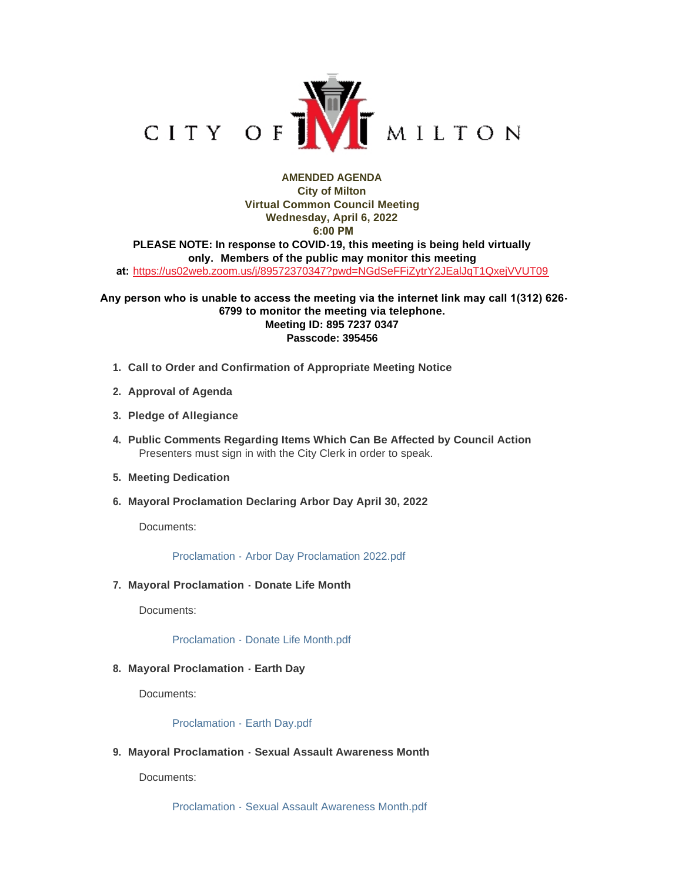

# **AMENDED AGENDA City of Milton Virtual Common Council Meeting Wednesday, April 6, 2022 6:00 PM PLEASE NOTE: In response to COVID-19, this meeting is being held virtually only. Members of the public may monitor this meeting at:** <https://us02web.zoom.us/j/89572370347?pwd=NGdSeFFiZytrY2JEalJqT1QxejVVUT09>

## **Any person who is unable to access the meeting via the internet link may call 1(312) 626- 6799 to monitor the meeting via telephone. Meeting ID: 895 7237 0347 Passcode: 395456**

- **Call to Order and Confirmation of Appropriate Meeting Notice 1.**
- **Approval of Agenda 2.**
- **Pledge of Allegiance 3.**
- **Public Comments Regarding Items Which Can Be Affected by Council Action 4.** Presenters must sign in with the City Clerk in order to speak.
- **Meeting Dedication 5.**
- **Mayoral Proclamation Declaring Arbor Day April 30, 2022 6.**

Documents:

[Proclamation - Arbor Day Proclamation 2022.pdf](https://www.milton-wi.gov/AgendaCenter/ViewFile/Item/9617?fileID=7431)

**Mayoral Proclamation - Donate Life Month 7.**

Documents:

[Proclamation - Donate Life Month.pdf](https://www.milton-wi.gov/AgendaCenter/ViewFile/Item/9659?fileID=7512)

**Mayoral Proclamation - Earth Day 8.**

Documents:

#### [Proclamation - Earth Day.pdf](https://www.milton-wi.gov/AgendaCenter/ViewFile/Item/9661?fileID=7514)

**Mayoral Proclamation - Sexual Assault Awareness Month 9.**

Documents:

[Proclamation - Sexual Assault Awareness Month.pdf](https://www.milton-wi.gov/AgendaCenter/ViewFile/Item/9660?fileID=7513)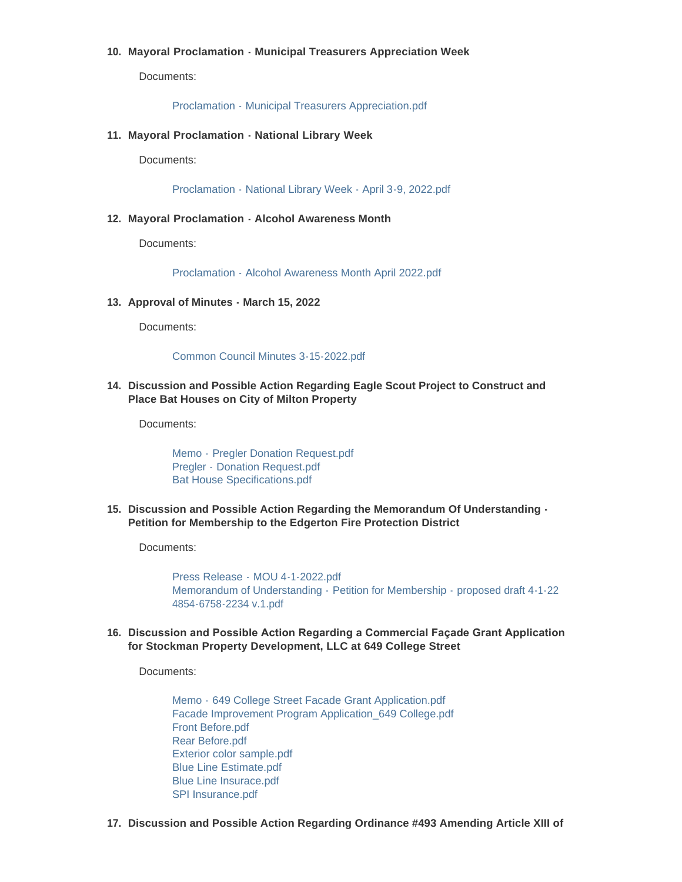## **Mayoral Proclamation - Municipal Treasurers Appreciation Week 10.**

Documents:

[Proclamation - Municipal Treasurers Appreciation.pdf](https://www.milton-wi.gov/AgendaCenter/ViewFile/Item/9656?fileID=7494)

**Mayoral Proclamation - National Library Week 11.**

Documents:

[Proclamation - National Library Week - April 3-9, 2022.pdf](https://www.milton-wi.gov/AgendaCenter/ViewFile/Item/9618?fileID=7432)

**Mayoral Proclamation - Alcohol Awareness Month 12.**

Documents:

[Proclamation - Alcohol Awareness Month April 2022.pdf](https://www.milton-wi.gov/AgendaCenter/ViewFile/Item/9653?fileID=7491)

**Approval of Minutes - March 15, 2022 13.**

Documents:

[Common Council Minutes 3-15-2022.pdf](https://www.milton-wi.gov/AgendaCenter/ViewFile/Item/9611?fileID=7497)

**Discussion and Possible Action Regarding Eagle Scout Project to Construct and 14. Place Bat Houses on City of Milton Property**

Documents:

Memo - [Pregler Donation Request.pdf](https://www.milton-wi.gov/AgendaCenter/ViewFile/Item/9621?fileID=7510) Pregler - [Donation Request.pdf](https://www.milton-wi.gov/AgendaCenter/ViewFile/Item/9621?fileID=7443) [Bat House Specifications.pdf](https://www.milton-wi.gov/AgendaCenter/ViewFile/Item/9621?fileID=7511)

**Discussion and Possible Action Regarding the Memorandum Of Understanding - 15. Petition for Membership to the Edgerton Fire Protection District**

Documents:

Press Release - [MOU 4-1-2022.pdf](https://www.milton-wi.gov/AgendaCenter/ViewFile/Item/9645?fileID=7495) [Memorandum of Understanding -](https://www.milton-wi.gov/AgendaCenter/ViewFile/Item/9645?fileID=7496) Petition for Membership - proposed draft 4-1-22 4854-6758-2234 v.1.pdf

**Discussion and Possible Action Regarding a Commercial Façade Grant Application 16. for Stockman Property Development, LLC at 649 College Street**

Documents:

Memo - [649 College Street Facade Grant Application.pdf](https://www.milton-wi.gov/AgendaCenter/ViewFile/Item/9612?fileID=7441) [Facade Improvement Program Application\\_649 College.pdf](https://www.milton-wi.gov/AgendaCenter/ViewFile/Item/9612?fileID=7415) [Front Before.pdf](https://www.milton-wi.gov/AgendaCenter/ViewFile/Item/9612?fileID=7507) [Rear Before.pdf](https://www.milton-wi.gov/AgendaCenter/ViewFile/Item/9612?fileID=7508) [Exterior color sample.pdf](https://www.milton-wi.gov/AgendaCenter/ViewFile/Item/9612?fileID=7414) [Blue Line Estimate.pdf](https://www.milton-wi.gov/AgendaCenter/ViewFile/Item/9612?fileID=7412) [Blue Line Insurace.pdf](https://www.milton-wi.gov/AgendaCenter/ViewFile/Item/9612?fileID=7413) [SPI Insurance.pdf](https://www.milton-wi.gov/AgendaCenter/ViewFile/Item/9612?fileID=7419)

**Discussion and Possible Action Regarding Ordinance #493 Amending Article XIII of 17.**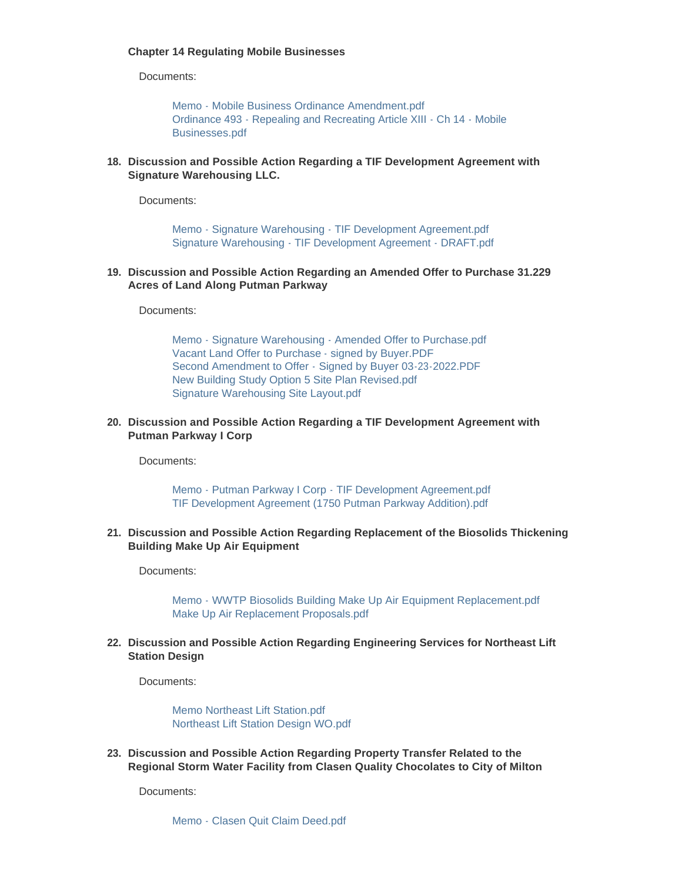## **Chapter 14 Regulating Mobile Businesses**

Documents:

[Memo - Mobile Business Ordinance Amendment.pdf](https://www.milton-wi.gov/AgendaCenter/ViewFile/Item/9623?fileID=7477) [Ordinance 493 - Repealing and Recreating Article XIII - Ch 14 - Mobile](https://www.milton-wi.gov/AgendaCenter/ViewFile/Item/9623?fileID=7478)  Businesses.pdf

**Discussion and Possible Action Regarding a TIF Development Agreement with 18. Signature Warehousing LLC.**

Documents:

[Memo - Signature Warehousing - TIF Development Agreement.pdf](https://www.milton-wi.gov/AgendaCenter/ViewFile/Item/9615?fileID=7427) [Signature Warehousing - TIF Development Agreement - DRAFT.pdf](https://www.milton-wi.gov/AgendaCenter/ViewFile/Item/9615?fileID=7428)

**Discussion and Possible Action Regarding an Amended Offer to Purchase 31.229 19. Acres of Land Along Putman Parkway**

Documents:

[Memo - Signature Warehousing - Amended Offer to Purchase.pdf](https://www.milton-wi.gov/AgendaCenter/ViewFile/Item/9613?fileID=7434) [Vacant Land Offer to Purchase - signed by Buyer.PDF](https://www.milton-wi.gov/AgendaCenter/ViewFile/Item/9613?fileID=7449) [Second Amendment to Offer - Signed by Buyer 03-23-2022.PDF](https://www.milton-wi.gov/AgendaCenter/ViewFile/Item/9613?fileID=7447) [New Building Study Option 5 Site Plan Revised.pdf](https://www.milton-wi.gov/AgendaCenter/ViewFile/Item/9613?fileID=7446) [Signature Warehousing Site Layout.pdf](https://www.milton-wi.gov/AgendaCenter/ViewFile/Item/9613?fileID=7448)

**Discussion and Possible Action Regarding a TIF Development Agreement with 20. Putman Parkway I Corp**

Documents:

[Memo - Putman Parkway I Corp - TIF Development Agreement.pdf](https://www.milton-wi.gov/AgendaCenter/ViewFile/Item/9622?fileID=7501) [TIF Development Agreement \(1750 Putman Parkway Addition\).pdf](https://www.milton-wi.gov/AgendaCenter/ViewFile/Item/9622?fileID=7480)

**Discussion and Possible Action Regarding Replacement of the Biosolids Thickening 21. Building Make Up Air Equipment**

Documents:

[Memo - WWTP Biosolids Building Make Up Air Equipment Replacement.pdf](https://www.milton-wi.gov/AgendaCenter/ViewFile/Item/9614?fileID=7516) [Make Up Air Replacement Proposals.pdf](https://www.milton-wi.gov/AgendaCenter/ViewFile/Item/9614?fileID=7515)

**Discussion and Possible Action Regarding Engineering Services for Northeast Lift 22. Station Design**

Documents:

[Memo Northeast Lift Station.pdf](https://www.milton-wi.gov/AgendaCenter/ViewFile/Item/9616?fileID=7429) [Northeast Lift Station Design WO.pdf](https://www.milton-wi.gov/AgendaCenter/ViewFile/Item/9616?fileID=7430)

**Discussion and Possible Action Regarding Property Transfer Related to the 23. Regional Storm Water Facility from Clasen Quality Chocolates to City of Milton**

Documents:

[Memo - Clasen Quit Claim Deed.pdf](https://www.milton-wi.gov/AgendaCenter/ViewFile/Item/9638?fileID=7476)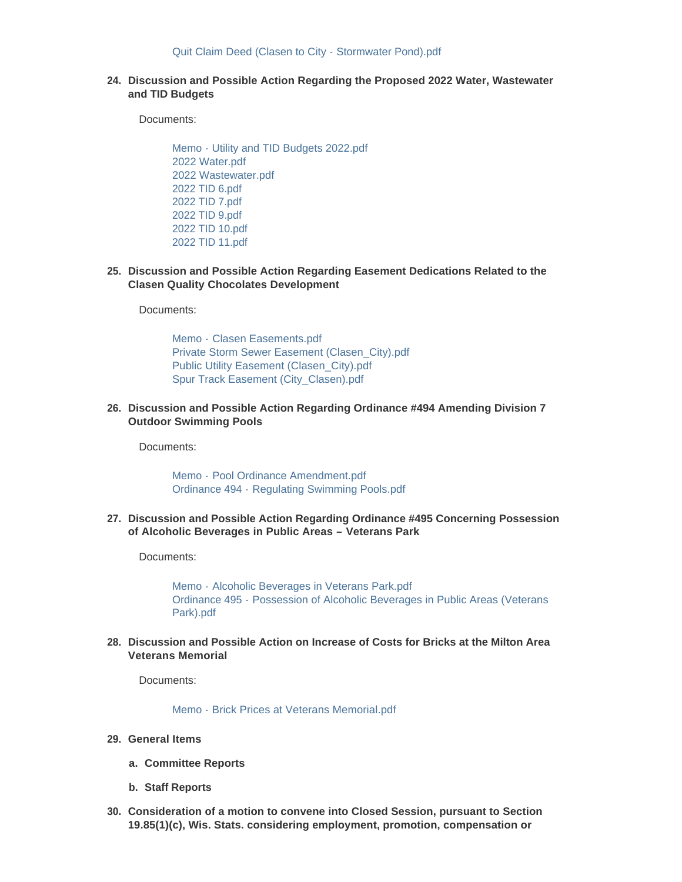**Discussion and Possible Action Regarding the Proposed 2022 Water, Wastewater 24. and TID Budgets**

Documents:

[Memo - Utility and TID Budgets 2022.pdf](https://www.milton-wi.gov/AgendaCenter/ViewFile/Item/9646?fileID=7488) [2022 Water.pdf](https://www.milton-wi.gov/AgendaCenter/ViewFile/Item/9646?fileID=7487) [2022 Wastewater.pdf](https://www.milton-wi.gov/AgendaCenter/ViewFile/Item/9646?fileID=7517) [2022 TID 6.pdf](https://www.milton-wi.gov/AgendaCenter/ViewFile/Item/9646?fileID=7481) [2022 TID 7.pdf](https://www.milton-wi.gov/AgendaCenter/ViewFile/Item/9646?fileID=7482) [2022 TID 9.pdf](https://www.milton-wi.gov/AgendaCenter/ViewFile/Item/9646?fileID=7483) [2022 TID 10.pdf](https://www.milton-wi.gov/AgendaCenter/ViewFile/Item/9646?fileID=7484) [2022 TID 11.pdf](https://www.milton-wi.gov/AgendaCenter/ViewFile/Item/9646?fileID=7485)

**Discussion and Possible Action Regarding Easement Dedications Related to the 25. Clasen Quality Chocolates Development**

Documents:

Memo - [Clasen Easements.pdf](https://www.milton-wi.gov/AgendaCenter/ViewFile/Item/9637?fileID=7474) [Private Storm Sewer Easement \(Clasen\\_City\).pdf](https://www.milton-wi.gov/AgendaCenter/ViewFile/Item/9637?fileID=7471) [Public Utility Easement \(Clasen\\_City\).pdf](https://www.milton-wi.gov/AgendaCenter/ViewFile/Item/9637?fileID=7472) [Spur Track Easement \(City\\_Clasen\).pdf](https://www.milton-wi.gov/AgendaCenter/ViewFile/Item/9637?fileID=7473)

**Discussion and Possible Action Regarding Ordinance #494 Amending Division 7 26. Outdoor Swimming Pools**

Documents:

Memo - [Pool Ordinance Amendment.pdf](https://www.milton-wi.gov/AgendaCenter/ViewFile/Item/9624?fileID=7509) Ordinance 494 - [Regulating Swimming Pools.pdf](https://www.milton-wi.gov/AgendaCenter/ViewFile/Item/9624?fileID=7500)

**Discussion and Possible Action Regarding Ordinance #495 Concerning Possession 27. of Alcoholic Beverages in Public Areas – Veterans Park**

Documents:

Memo - [Alcoholic Beverages in Veterans Park.pdf](https://www.milton-wi.gov/AgendaCenter/ViewFile/Item/9658?fileID=7503) Ordinance 495 - [Possession of Alcoholic Beverages in Public Areas \(Veterans](https://www.milton-wi.gov/AgendaCenter/ViewFile/Item/9658?fileID=7504)  Park).pdf

**Discussion and Possible Action on Increase of Costs for Bricks at the Milton Area 28. Veterans Memorial**

Documents:

[Memo - Brick Prices at Veterans Memorial.pdf](https://www.milton-wi.gov/AgendaCenter/ViewFile/Item/9657?fileID=7502)

- **General Items 29.**
	- **Committee Reports a.**
	- **Staff Reports b.**
- **Consideration of a motion to convene into Closed Session, pursuant to Section 30. 19.85(1)(c), Wis. Stats. considering employment, promotion, compensation or**